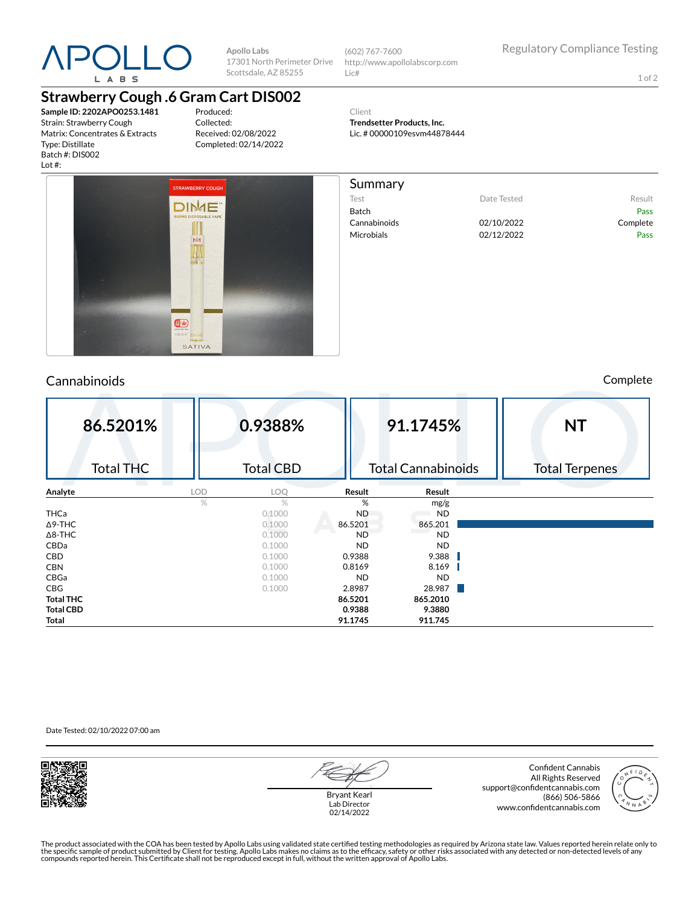

**Apollo Labs** 17301 North Perimeter Drive Scottsdale, AZ 85255

(602) 767-7600 http://www.apollolabscorp.com Lic#

> **Trendsetter Products, Inc.** Lic. # 00000109esvm44878444

Client

Summary

Test **Date Tested** Result Batch Pass Cannabinoids 02/10/2022 Complete Microbials **02/12/2022** Pass

1 of 2

## **Strawberry Cough .6 Gram Cart DIS002**

**Sample ID: 2202APO0253.1481** Strain: Strawberry Cough Matrix: Concentrates & Extracts Type: Distillate Batch #: DIS002 Lot #:

Produced: Collected: Received: 02/08/2022 Completed: 02/14/2022



### Cannabinoids Complete

| 86.5201%         | 0.9388%          |           | 91.1745%                  | <b>NT</b>             |
|------------------|------------------|-----------|---------------------------|-----------------------|
| <b>Total THC</b> | <b>Total CBD</b> |           | <b>Total Cannabinoids</b> | <b>Total Terpenes</b> |
| Analyte          | LOD<br>LOQ       | Result    | Result                    |                       |
|                  | %<br>$\%$        | %         | mg/g                      |                       |
| <b>THCa</b>      | 0.1000           | <b>ND</b> | <b>ND</b>                 |                       |
| $\Delta$ 9-THC   | 0.1000           | 86.5201   | 865.201                   |                       |
| $\Delta$ 8-THC   | 0.1000           | <b>ND</b> | <b>ND</b>                 |                       |
| CBDa             | 0.1000           | <b>ND</b> | <b>ND</b>                 |                       |
| CBD              | 0.1000           | 0.9388    | 9.388                     |                       |
| <b>CBN</b>       | 0.1000           | 0.8169    | 8.169                     |                       |
| CBGa             | 0.1000           | <b>ND</b> | <b>ND</b>                 |                       |
| <b>CBG</b>       | 0.1000           | 2.8987    | 28.987                    |                       |
| <b>Total THC</b> |                  | 86.5201   | 865.2010                  |                       |
| <b>Total CBD</b> |                  | 0.9388    | 9.3880                    |                       |
| Total            |                  | 91.1745   | 911.745                   |                       |

Date Tested: 02/10/2022 07:00 am



Bryant Kearl Lab Director 02/14/2022

Confident Cannabis All Rights Reserved support@confidentcannabis.com (866) 506-5866 www.confidentcannabis.com



The product associated with the COA has been tested by Apollo Labs using validated state certified testing methodologies as required by Arizona state law. Values reported herein relate only to<br>the specific sample of produc